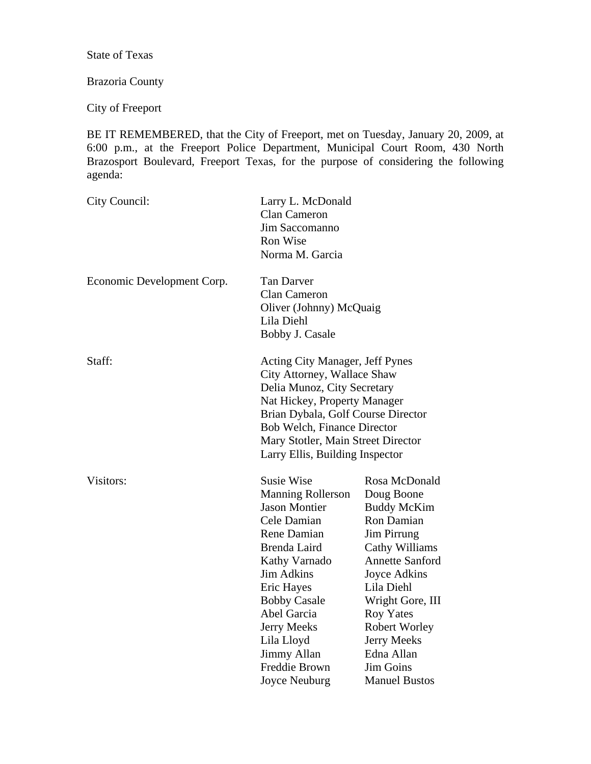State of Texas

# Brazoria County

City of Freeport

BE IT REMEMBERED, that the City of Freeport, met on Tuesday, January 20, 2009, at 6:00 p.m., at the Freeport Police Department, Municipal Court Room, 430 North Brazosport Boulevard, Freeport Texas, for the purpose of considering the following agenda:

| City Council:              | Larry L. McDonald<br><b>Clan Cameron</b><br>Jim Saccomanno<br>Ron Wise<br>Norma M. Garcia                                                                                                                                                                                                          |                                                                                                                                                                                                                                                                                                   |
|----------------------------|----------------------------------------------------------------------------------------------------------------------------------------------------------------------------------------------------------------------------------------------------------------------------------------------------|---------------------------------------------------------------------------------------------------------------------------------------------------------------------------------------------------------------------------------------------------------------------------------------------------|
| Economic Development Corp. | <b>Tan Darver</b><br>Clan Cameron<br>Oliver (Johnny) McQuaig<br>Lila Diehl<br>Bobby J. Casale                                                                                                                                                                                                      |                                                                                                                                                                                                                                                                                                   |
| Staff:                     | <b>Acting City Manager, Jeff Pynes</b><br>City Attorney, Wallace Shaw<br>Delia Munoz, City Secretary<br>Nat Hickey, Property Manager<br>Brian Dybala, Golf Course Director<br>Bob Welch, Finance Director<br>Mary Stotler, Main Street Director<br>Larry Ellis, Building Inspector                 |                                                                                                                                                                                                                                                                                                   |
| Visitors:                  | <b>Susie Wise</b><br><b>Manning Rollerson</b><br><b>Jason Montier</b><br>Cele Damian<br>Rene Damian<br>Brenda Laird<br>Kathy Varnado<br><b>Jim Adkins</b><br>Eric Hayes<br><b>Bobby Casale</b><br>Abel Garcia<br><b>Jerry Meeks</b><br>Lila Lloyd<br>Jimmy Allan<br>Freddie Brown<br>Joyce Neuburg | Rosa McDonald<br>Doug Boone<br><b>Buddy McKim</b><br>Ron Damian<br><b>Jim Pirrung</b><br>Cathy Williams<br><b>Annette Sanford</b><br>Joyce Adkins<br>Lila Diehl<br>Wright Gore, III<br><b>Roy Yates</b><br><b>Robert Worley</b><br>Jerry Meeks<br>Edna Allan<br>Jim Goins<br><b>Manuel Bustos</b> |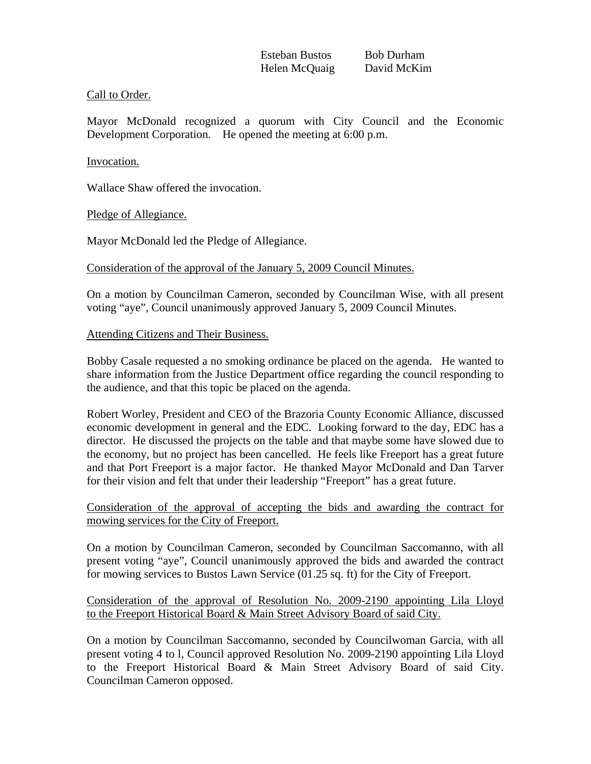### Call to Order.

Mayor McDonald recognized a quorum with City Council and the Economic Development Corporation. He opened the meeting at 6:00 p.m.

#### Invocation.

Wallace Shaw offered the invocation.

Pledge of Allegiance.

Mayor McDonald led the Pledge of Allegiance.

### Consideration of the approval of the January 5, 2009 Council Minutes.

On a motion by Councilman Cameron, seconded by Councilman Wise, with all present voting "aye", Council unanimously approved January 5, 2009 Council Minutes.

### Attending Citizens and Their Business.

Bobby Casale requested a no smoking ordinance be placed on the agenda. He wanted to share information from the Justice Department office regarding the council responding to the audience, and that this topic be placed on the agenda.

Robert Worley, President and CEO of the Brazoria County Economic Alliance, discussed economic development in general and the EDC. Looking forward to the day, EDC has a director. He discussed the projects on the table and that maybe some have slowed due to the economy, but no project has been cancelled. He feels like Freeport has a great future and that Port Freeport is a major factor. He thanked Mayor McDonald and Dan Tarver for their vision and felt that under their leadership "Freeport" has a great future.

## Consideration of the approval of accepting the bids and awarding the contract for mowing services for the City of Freeport.

On a motion by Councilman Cameron, seconded by Councilman Saccomanno, with all present voting "aye", Council unanimously approved the bids and awarded the contract for mowing services to Bustos Lawn Service (01.25 sq. ft) for the City of Freeport.

## Consideration of the approval of Resolution No. 2009-2190 appointing Lila Lloyd to the Freeport Historical Board & Main Street Advisory Board of said City.

On a motion by Councilman Saccomanno, seconded by Councilwoman Garcia, with all present voting 4 to l, Council approved Resolution No. 2009-2190 appointing Lila Lloyd to the Freeport Historical Board & Main Street Advisory Board of said City. Councilman Cameron opposed.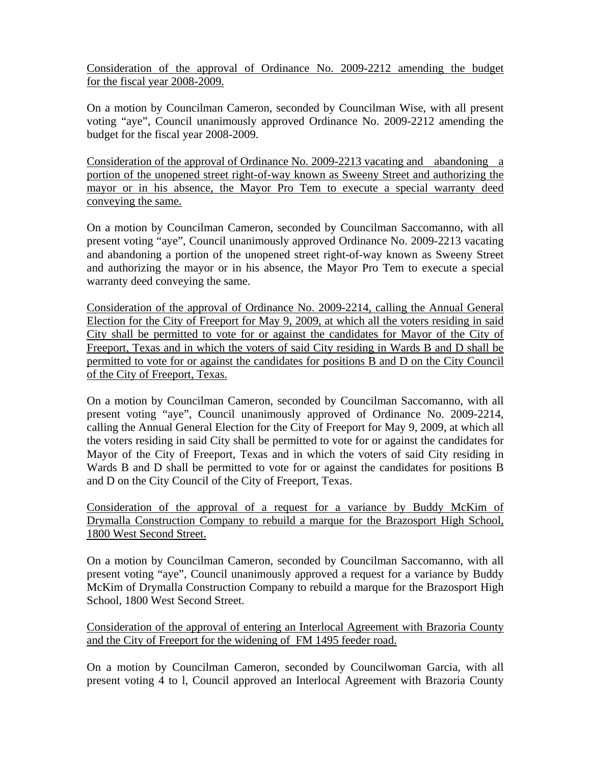Consideration of the approval of Ordinance No. 2009-2212 amending the budget for the fiscal year 2008-2009.

On a motion by Councilman Cameron, seconded by Councilman Wise, with all present voting "aye", Council unanimously approved Ordinance No. 2009-2212 amending the budget for the fiscal year 2008-2009.

Consideration of the approval of Ordinance No. 2009-2213 vacating and abandoning a portion of the unopened street right-of-way known as Sweeny Street and authorizing the mayor or in his absence, the Mayor Pro Tem to execute a special warranty deed conveying the same.

On a motion by Councilman Cameron, seconded by Councilman Saccomanno, with all present voting "aye", Council unanimously approved Ordinance No. 2009-2213 vacating and abandoning a portion of the unopened street right-of-way known as Sweeny Street and authorizing the mayor or in his absence, the Mayor Pro Tem to execute a special warranty deed conveying the same.

Consideration of the approval of Ordinance No. 2009-2214, calling the Annual General Election for the City of Freeport for May 9, 2009, at which all the voters residing in said City shall be permitted to vote for or against the candidates for Mayor of the City of Freeport, Texas and in which the voters of said City residing in Wards B and D shall be permitted to vote for or against the candidates for positions B and D on the City Council of the City of Freeport, Texas.

On a motion by Councilman Cameron, seconded by Councilman Saccomanno, with all present voting "aye", Council unanimously approved of Ordinance No. 2009-2214, calling the Annual General Election for the City of Freeport for May 9, 2009, at which all the voters residing in said City shall be permitted to vote for or against the candidates for Mayor of the City of Freeport, Texas and in which the voters of said City residing in Wards B and D shall be permitted to vote for or against the candidates for positions B and D on the City Council of the City of Freeport, Texas.

Consideration of the approval of a request for a variance by Buddy McKim of Drymalla Construction Company to rebuild a marque for the Brazosport High School, 1800 West Second Street.

On a motion by Councilman Cameron, seconded by Councilman Saccomanno, with all present voting "aye", Council unanimously approved a request for a variance by Buddy McKim of Drymalla Construction Company to rebuild a marque for the Brazosport High School, 1800 West Second Street.

Consideration of the approval of entering an Interlocal Agreement with Brazoria County and the City of Freeport for the widening of FM 1495 feeder road.

On a motion by Councilman Cameron, seconded by Councilwoman Garcia, with all present voting 4 to l, Council approved an Interlocal Agreement with Brazoria County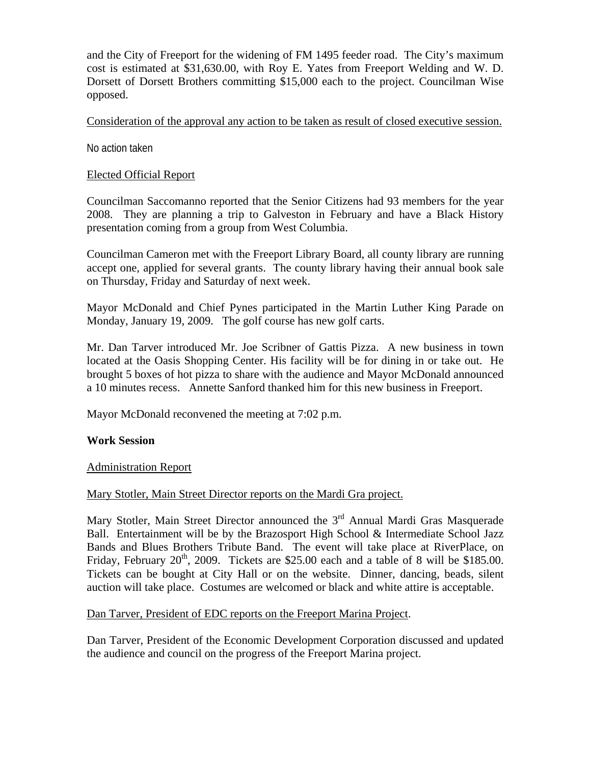and the City of Freeport for the widening of FM 1495 feeder road. The City's maximum cost is estimated at \$31,630.00, with Roy E. Yates from Freeport Welding and W. D. Dorsett of Dorsett Brothers committing \$15,000 each to the project. Councilman Wise opposed.

Consideration of the approval any action to be taken as result of closed executive session.

No action taken

## Elected Official Report

Councilman Saccomanno reported that the Senior Citizens had 93 members for the year 2008. They are planning a trip to Galveston in February and have a Black History presentation coming from a group from West Columbia.

Councilman Cameron met with the Freeport Library Board, all county library are running accept one, applied for several grants. The county library having their annual book sale on Thursday, Friday and Saturday of next week.

Mayor McDonald and Chief Pynes participated in the Martin Luther King Parade on Monday, January 19, 2009. The golf course has new golf carts.

Mr. Dan Tarver introduced Mr. Joe Scribner of Gattis Pizza. A new business in town located at the Oasis Shopping Center. His facility will be for dining in or take out. He brought 5 boxes of hot pizza to share with the audience and Mayor McDonald announced a 10 minutes recess. Annette Sanford thanked him for this new business in Freeport.

Mayor McDonald reconvened the meeting at 7:02 p.m.

## **Work Session**

## Administration Report

## Mary Stotler, Main Street Director reports on the Mardi Gra project.

Mary Stotler, Main Street Director announced the 3<sup>rd</sup> Annual Mardi Gras Masquerade Ball. Entertainment will be by the Brazosport High School & Intermediate School Jazz Bands and Blues Brothers Tribute Band. The event will take place at RiverPlace, on Friday, February  $20^{th}$ ,  $2009$ . Tickets are \$25.00 each and a table of 8 will be \$185.00. Tickets can be bought at City Hall or on the website. Dinner, dancing, beads, silent auction will take place. Costumes are welcomed or black and white attire is acceptable.

## Dan Tarver, President of EDC reports on the Freeport Marina Project.

Dan Tarver, President of the Economic Development Corporation discussed and updated the audience and council on the progress of the Freeport Marina project.